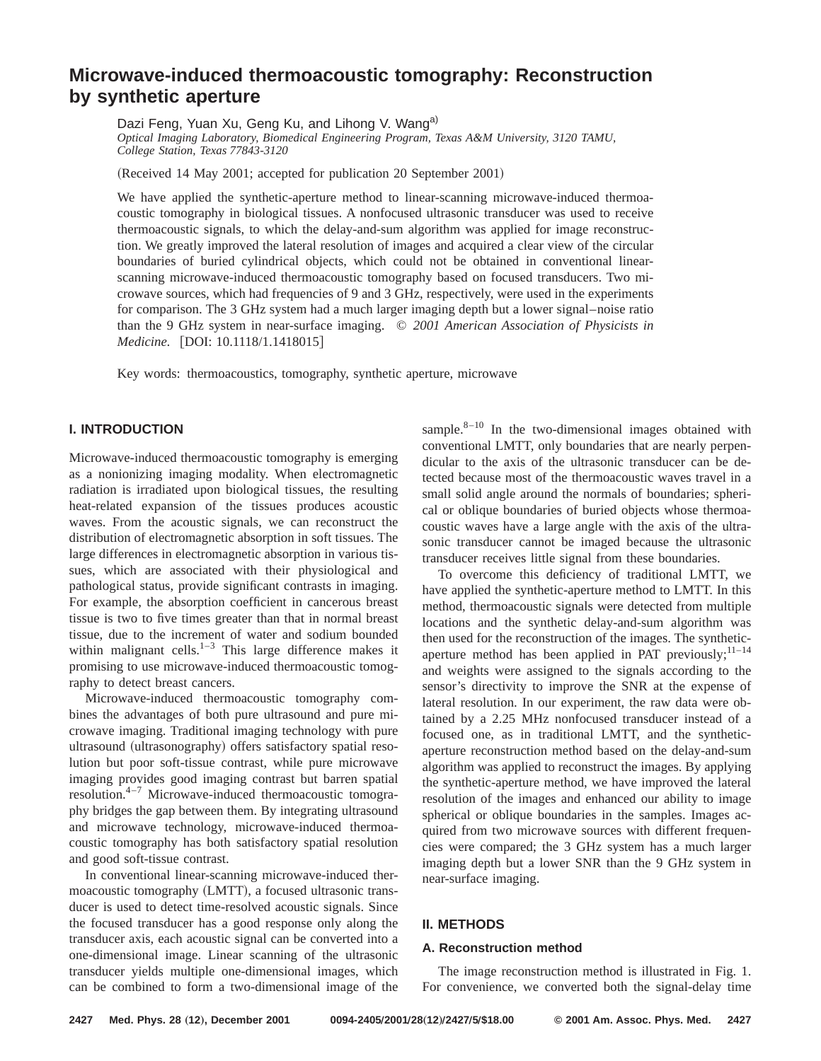# **Microwave-induced thermoacoustic tomography: Reconstruction by synthetic aperture**

Dazi Feng, Yuan Xu, Geng Ku, and Lihong V. Wang<sup>a)</sup> *Optical Imaging Laboratory, Biomedical Engineering Program, Texas A&M University, 3120 TAMU, College Station, Texas 77843-3120*

(Received 14 May 2001; accepted for publication 20 September 2001)

We have applied the synthetic-aperture method to linear-scanning microwave-induced thermoacoustic tomography in biological tissues. A nonfocused ultrasonic transducer was used to receive thermoacoustic signals, to which the delay-and-sum algorithm was applied for image reconstruction. We greatly improved the lateral resolution of images and acquired a clear view of the circular boundaries of buried cylindrical objects, which could not be obtained in conventional linearscanning microwave-induced thermoacoustic tomography based on focused transducers. Two microwave sources, which had frequencies of 9 and 3 GHz, respectively, were used in the experiments for comparison. The 3 GHz system had a much larger imaging depth but a lower signal–noise ratio than the 9 GHz system in near-surface imaging. © *2001 American Association of Physicists in Medicine.* [DOI: 10.1118/1.1418015]

Key words: thermoacoustics, tomography, synthetic aperture, microwave

# **I. INTRODUCTION**

Microwave-induced thermoacoustic tomography is emerging as a nonionizing imaging modality. When electromagnetic radiation is irradiated upon biological tissues, the resulting heat-related expansion of the tissues produces acoustic waves. From the acoustic signals, we can reconstruct the distribution of electromagnetic absorption in soft tissues. The large differences in electromagnetic absorption in various tissues, which are associated with their physiological and pathological status, provide significant contrasts in imaging. For example, the absorption coefficient in cancerous breast tissue is two to five times greater than that in normal breast tissue, due to the increment of water and sodium bounded within malignant cells. $1-3$  This large difference makes it promising to use microwave-induced thermoacoustic tomography to detect breast cancers.

Microwave-induced thermoacoustic tomography combines the advantages of both pure ultrasound and pure microwave imaging. Traditional imaging technology with pure ultrasound (ultrasonography) offers satisfactory spatial resolution but poor soft-tissue contrast, while pure microwave imaging provides good imaging contrast but barren spatial resolution. $4-7$  Microwave-induced thermoacoustic tomography bridges the gap between them. By integrating ultrasound and microwave technology, microwave-induced thermoacoustic tomography has both satisfactory spatial resolution and good soft-tissue contrast.

In conventional linear-scanning microwave-induced thermoacoustic tomography (LMTT), a focused ultrasonic transducer is used to detect time-resolved acoustic signals. Since the focused transducer has a good response only along the transducer axis, each acoustic signal can be converted into a one-dimensional image. Linear scanning of the ultrasonic transducer yields multiple one-dimensional images, which can be combined to form a two-dimensional image of the sample. $8-10$  In the two-dimensional images obtained with conventional LMTT, only boundaries that are nearly perpendicular to the axis of the ultrasonic transducer can be detected because most of the thermoacoustic waves travel in a small solid angle around the normals of boundaries; spherical or oblique boundaries of buried objects whose thermoacoustic waves have a large angle with the axis of the ultrasonic transducer cannot be imaged because the ultrasonic transducer receives little signal from these boundaries.

To overcome this deficiency of traditional LMTT, we have applied the synthetic-aperture method to LMTT. In this method, thermoacoustic signals were detected from multiple locations and the synthetic delay-and-sum algorithm was then used for the reconstruction of the images. The syntheticaperture method has been applied in PAT previously; $^{11-14}$ and weights were assigned to the signals according to the sensor's directivity to improve the SNR at the expense of lateral resolution. In our experiment, the raw data were obtained by a 2.25 MHz nonfocused transducer instead of a focused one, as in traditional LMTT, and the syntheticaperture reconstruction method based on the delay-and-sum algorithm was applied to reconstruct the images. By applying the synthetic-aperture method, we have improved the lateral resolution of the images and enhanced our ability to image spherical or oblique boundaries in the samples. Images acquired from two microwave sources with different frequencies were compared; the 3 GHz system has a much larger imaging depth but a lower SNR than the 9 GHz system in near-surface imaging.

# **II. METHODS**

#### **A. Reconstruction method**

The image reconstruction method is illustrated in Fig. 1. For convenience, we converted both the signal-delay time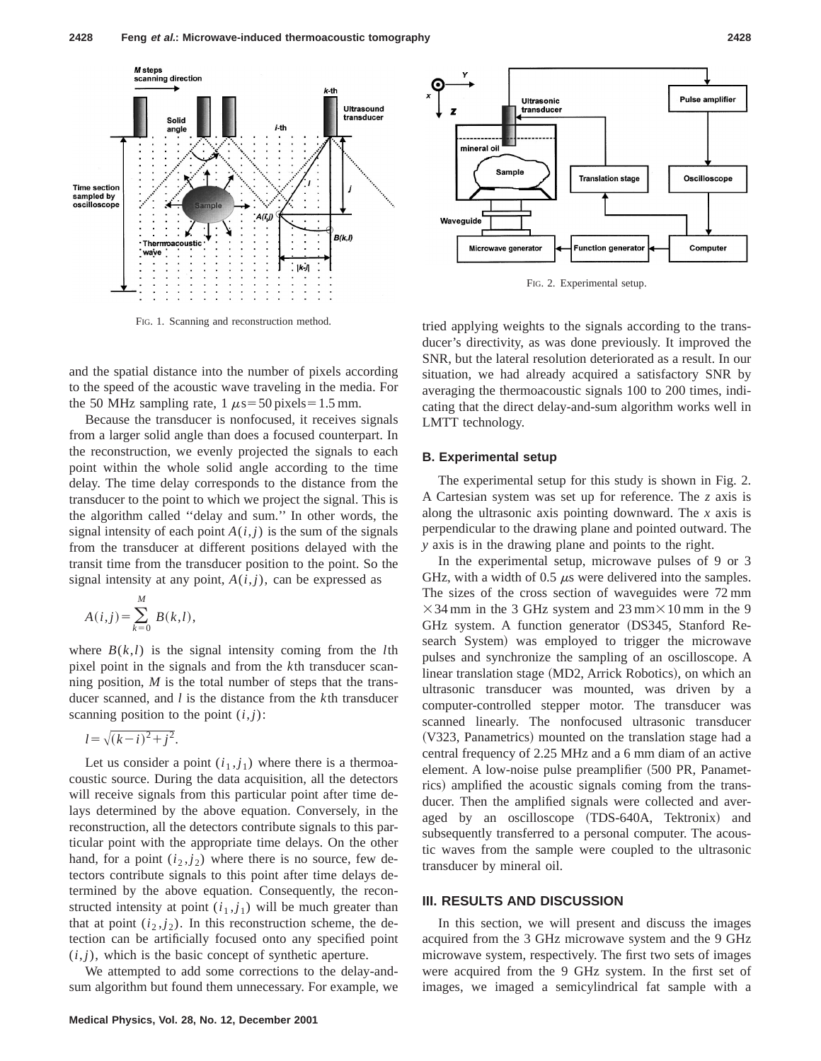

FIG. 1. Scanning and reconstruction method.

and the spatial distance into the number of pixels according to the speed of the acoustic wave traveling in the media. For the 50 MHz sampling rate,  $1 \mu s = 50$  pixels = 1.5 mm.

Because the transducer is nonfocused, it receives signals from a larger solid angle than does a focused counterpart. In the reconstruction, we evenly projected the signals to each point within the whole solid angle according to the time delay. The time delay corresponds to the distance from the transducer to the point to which we project the signal. This is the algorithm called ''delay and sum.'' In other words, the signal intensity of each point  $A(i, j)$  is the sum of the signals from the transducer at different positions delayed with the transit time from the transducer position to the point. So the signal intensity at any point,  $A(i, j)$ , can be expressed as

$$
A(i,j) = \sum_{k=0}^{M} B(k,l),
$$

where  $B(k, l)$  is the signal intensity coming from the *l*th pixel point in the signals and from the *k*th transducer scanning position, *M* is the total number of steps that the transducer scanned, and *l* is the distance from the *k*th transducer scanning position to the point  $(i, j)$ :

$$
l = \sqrt{(k-i)^2 + j^2}.
$$

Let us consider a point  $(i_1, j_1)$  where there is a thermoacoustic source. During the data acquisition, all the detectors will receive signals from this particular point after time delays determined by the above equation. Conversely, in the reconstruction, all the detectors contribute signals to this particular point with the appropriate time delays. On the other hand, for a point  $(i_2, j_2)$  where there is no source, few detectors contribute signals to this point after time delays determined by the above equation. Consequently, the reconstructed intensity at point  $(i_1, j_1)$  will be much greater than that at point  $(i_2, j_2)$ . In this reconstruction scheme, the detection can be artificially focused onto any specified point  $(i, j)$ , which is the basic concept of synthetic aperture.

We attempted to add some corrections to the delay-andsum algorithm but found them unnecessary. For example, we



FIG. 2. Experimental setup.

tried applying weights to the signals according to the transducer's directivity, as was done previously. It improved the SNR, but the lateral resolution deteriorated as a result. In our situation, we had already acquired a satisfactory SNR by averaging the thermoacoustic signals 100 to 200 times, indicating that the direct delay-and-sum algorithm works well in LMTT technology.

#### **B. Experimental setup**

The experimental setup for this study is shown in Fig. 2. A Cartesian system was set up for reference. The *z* axis is along the ultrasonic axis pointing downward. The *x* axis is perpendicular to the drawing plane and pointed outward. The *y* axis is in the drawing plane and points to the right.

In the experimental setup, microwave pulses of 9 or 3 GHz, with a width of 0.5  $\mu$ s were delivered into the samples. The sizes of the cross section of waveguides were 72 mm  $\times$ 34 mm in the 3 GHz system and 23 mm $\times$ 10 mm in the 9 GHz system. A function generator (DS345, Stanford Research System) was employed to trigger the microwave pulses and synchronize the sampling of an oscilloscope. A linear translation stage (MD2, Arrick Robotics), on which an ultrasonic transducer was mounted, was driven by a computer-controlled stepper motor. The transducer was scanned linearly. The nonfocused ultrasonic transducer (V323, Panametrics) mounted on the translation stage had a central frequency of 2.25 MHz and a 6 mm diam of an active element. A low-noise pulse preamplifier (500 PR, Panametrics) amplified the acoustic signals coming from the transducer. Then the amplified signals were collected and averaged by an oscilloscope (TDS-640A, Tektronix) and subsequently transferred to a personal computer. The acoustic waves from the sample were coupled to the ultrasonic transducer by mineral oil.

## **III. RESULTS AND DISCUSSION**

In this section, we will present and discuss the images acquired from the 3 GHz microwave system and the 9 GHz microwave system, respectively. The first two sets of images were acquired from the 9 GHz system. In the first set of images, we imaged a semicylindrical fat sample with a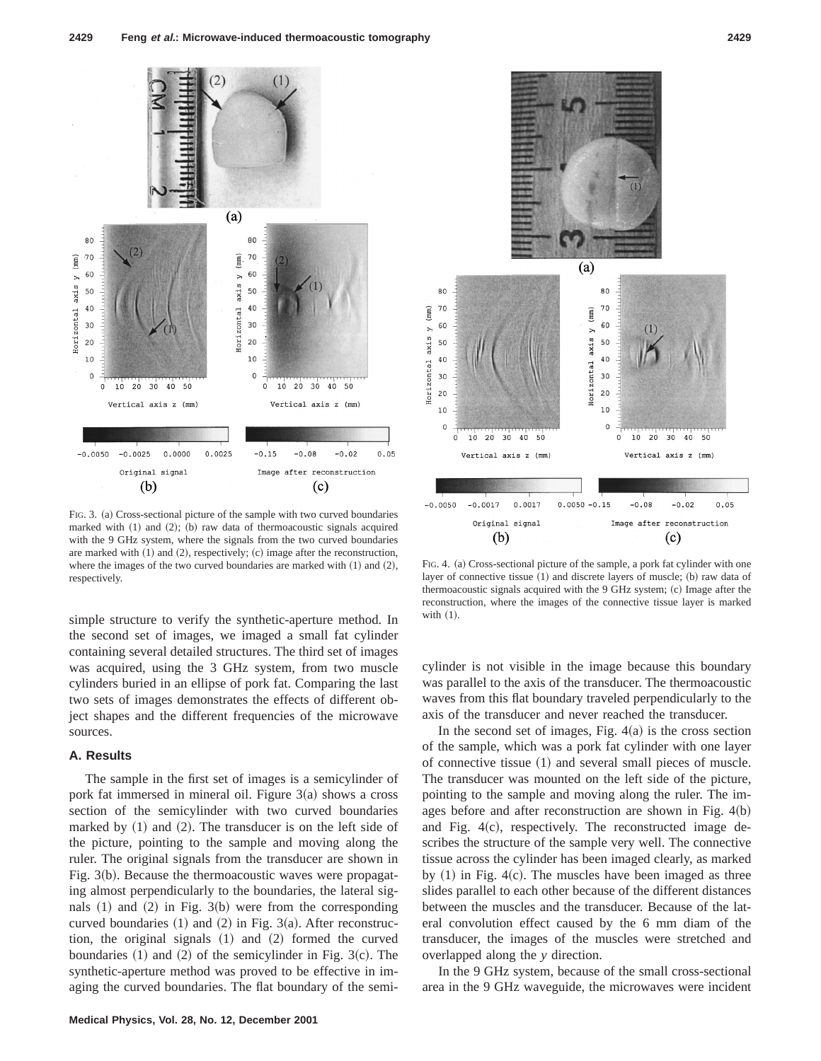

FIG. 3. (a) Cross-sectional picture of the sample with two curved boundaries marked with  $(1)$  and  $(2)$ ;  $(b)$  raw data of thermoacoustic signals acquired with the 9 GHz system, where the signals from the two curved boundaries are marked with  $(1)$  and  $(2)$ , respectively;  $(c)$  image after the reconstruction, where the images of the two curved boundaries are marked with  $(1)$  and  $(2)$ , respectively.

simple structure to verify the synthetic-aperture method. In the second set of images, we imaged a small fat cylinder containing several detailed structures. The third set of images was acquired, using the 3 GHz system, from two muscle cylinders buried in an ellipse of pork fat. Comparing the last two sets of images demonstrates the effects of different object shapes and the different frequencies of the microwave sources.

#### **A. Results**

The sample in the first set of images is a semicylinder of pork fat immersed in mineral oil. Figure  $3(a)$  shows a cross section of the semicylinder with two curved boundaries marked by  $(1)$  and  $(2)$ . The transducer is on the left side of the picture, pointing to the sample and moving along the ruler. The original signals from the transducer are shown in Fig.  $3(b)$ . Because the thermoacoustic waves were propagating almost perpendicularly to the boundaries, the lateral signals  $(1)$  and  $(2)$  in Fig. 3 $(b)$  were from the corresponding curved boundaries  $(1)$  and  $(2)$  in Fig. 3 $(a)$ . After reconstruction, the original signals  $(1)$  and  $(2)$  formed the curved boundaries  $(1)$  and  $(2)$  of the semicylinder in Fig. 3 $(c)$ . The synthetic-aperture method was proved to be effective in imaging the curved boundaries. The flat boundary of the semi-



FIG. 4. (a) Cross-sectional picture of the sample, a pork fat cylinder with one layer of connective tissue  $(1)$  and discrete layers of muscle;  $(b)$  raw data of thermoacoustic signals acquired with the 9 GHz system; (c) Image after the reconstruction, where the images of the connective tissue layer is marked with  $(1)$ .

cylinder is not visible in the image because this boundary was parallel to the axis of the transducer. The thermoacoustic waves from this flat boundary traveled perpendicularly to the axis of the transducer and never reached the transducer.

In the second set of images, Fig.  $4(a)$  is the cross section of the sample, which was a pork fat cylinder with one layer of connective tissue  $(1)$  and several small pieces of muscle. The transducer was mounted on the left side of the picture, pointing to the sample and moving along the ruler. The images before and after reconstruction are shown in Fig.  $4(b)$ and Fig.  $4(c)$ , respectively. The reconstructed image describes the structure of the sample very well. The connective tissue across the cylinder has been imaged clearly, as marked by  $(1)$  in Fig. 4 $(c)$ . The muscles have been imaged as three slides parallel to each other because of the different distances between the muscles and the transducer. Because of the lateral convolution effect caused by the 6 mm diam of the transducer, the images of the muscles were stretched and overlapped along the *y* direction.

In the 9 GHz system, because of the small cross-sectional area in the 9 GHz waveguide, the microwaves were incident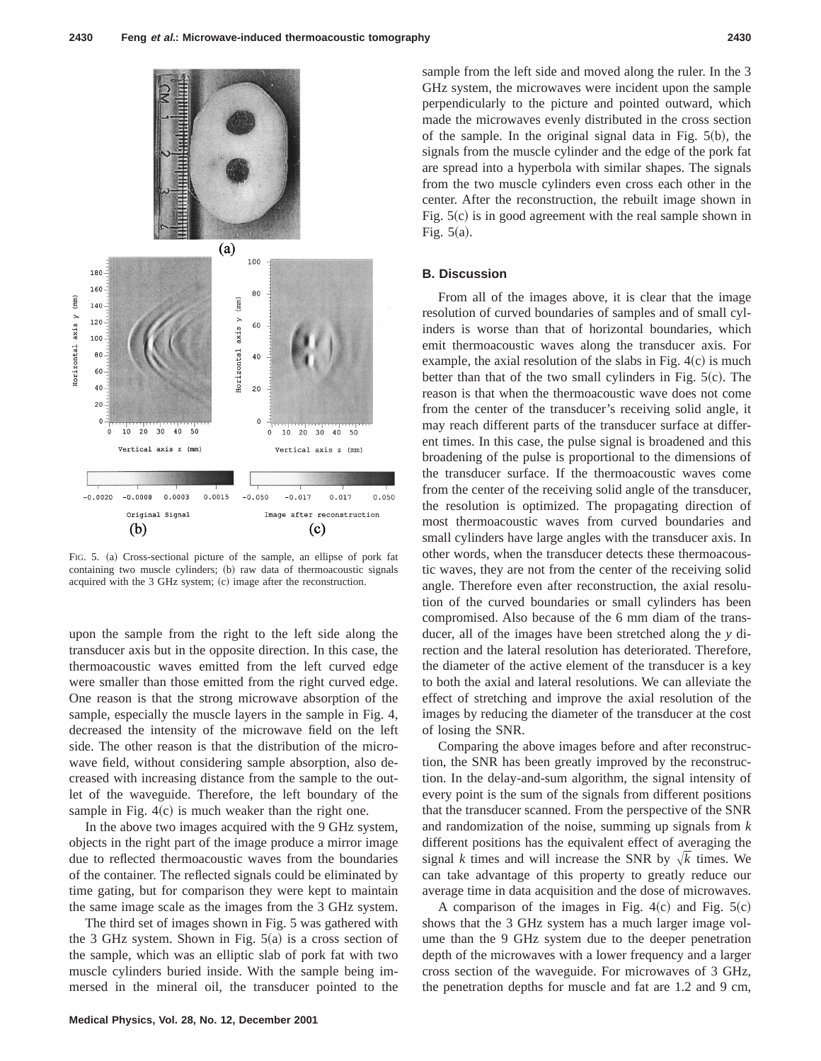

FIG. 5. (a) Cross-sectional picture of the sample, an ellipse of pork fat containing two muscle cylinders; (b) raw data of thermoacoustic signals acquired with the 3 GHz system; (c) image after the reconstruction.

upon the sample from the right to the left side along the transducer axis but in the opposite direction. In this case, the thermoacoustic waves emitted from the left curved edge were smaller than those emitted from the right curved edge. One reason is that the strong microwave absorption of the sample, especially the muscle layers in the sample in Fig. 4, decreased the intensity of the microwave field on the left side. The other reason is that the distribution of the microwave field, without considering sample absorption, also decreased with increasing distance from the sample to the outlet of the waveguide. Therefore, the left boundary of the sample in Fig.  $4(c)$  is much weaker than the right one.

In the above two images acquired with the 9 GHz system, objects in the right part of the image produce a mirror image due to reflected thermoacoustic waves from the boundaries of the container. The reflected signals could be eliminated by time gating, but for comparison they were kept to maintain the same image scale as the images from the 3 GHz system.

The third set of images shown in Fig. 5 was gathered with the 3 GHz system. Shown in Fig.  $5(a)$  is a cross section of the sample, which was an elliptic slab of pork fat with two muscle cylinders buried inside. With the sample being immersed in the mineral oil, the transducer pointed to the sample from the left side and moved along the ruler. In the 3 GHz system, the microwaves were incident upon the sample perpendicularly to the picture and pointed outward, which made the microwaves evenly distributed in the cross section of the sample. In the original signal data in Fig.  $5(b)$ , the signals from the muscle cylinder and the edge of the pork fat are spread into a hyperbola with similar shapes. The signals from the two muscle cylinders even cross each other in the center. After the reconstruction, the rebuilt image shown in Fig.  $5(c)$  is in good agreement with the real sample shown in Fig.  $5(a)$ .

## **B. Discussion**

From all of the images above, it is clear that the image resolution of curved boundaries of samples and of small cylinders is worse than that of horizontal boundaries, which emit thermoacoustic waves along the transducer axis. For example, the axial resolution of the slabs in Fig.  $4(c)$  is much better than that of the two small cylinders in Fig.  $5(c)$ . The reason is that when the thermoacoustic wave does not come from the center of the transducer's receiving solid angle, it may reach different parts of the transducer surface at different times. In this case, the pulse signal is broadened and this broadening of the pulse is proportional to the dimensions of the transducer surface. If the thermoacoustic waves come from the center of the receiving solid angle of the transducer, the resolution is optimized. The propagating direction of most thermoacoustic waves from curved boundaries and small cylinders have large angles with the transducer axis. In other words, when the transducer detects these thermoacoustic waves, they are not from the center of the receiving solid angle. Therefore even after reconstruction, the axial resolution of the curved boundaries or small cylinders has been compromised. Also because of the 6 mm diam of the transducer, all of the images have been stretched along the *y* direction and the lateral resolution has deteriorated. Therefore, the diameter of the active element of the transducer is a key to both the axial and lateral resolutions. We can alleviate the effect of stretching and improve the axial resolution of the images by reducing the diameter of the transducer at the cost of losing the SNR.

Comparing the above images before and after reconstruction, the SNR has been greatly improved by the reconstruction. In the delay-and-sum algorithm, the signal intensity of every point is the sum of the signals from different positions that the transducer scanned. From the perspective of the SNR and randomization of the noise, summing up signals from *k* different positions has the equivalent effect of averaging the signal *k* times and will increase the SNR by  $\sqrt{k}$  times. We can take advantage of this property to greatly reduce our average time in data acquisition and the dose of microwaves.

A comparison of the images in Fig.  $4(c)$  and Fig.  $5(c)$ shows that the 3 GHz system has a much larger image volume than the 9 GHz system due to the deeper penetration depth of the microwaves with a lower frequency and a larger cross section of the waveguide. For microwaves of 3 GHz, the penetration depths for muscle and fat are 1.2 and 9 cm,